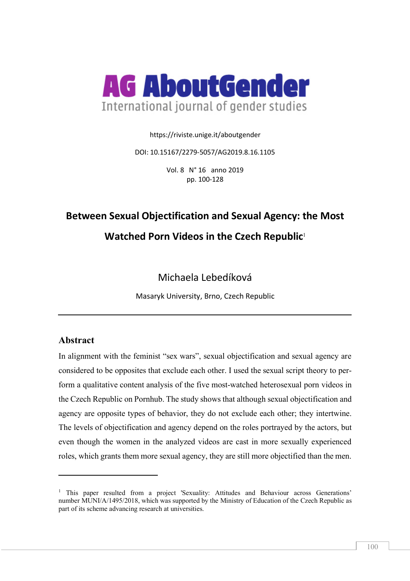

https://riviste.unige.it/aboutgender

DOI: 10.15167/2279-5057/AG2019.8.16.1105

Vol. 8 N° 16 anno 2019 pp. 100-128

# **Between Sexual Objectification and Sexual Agency: the Most Watched Porn Videos in the Czech Republic**<sup>1</sup>

# Michaela Lebedíková

Masaryk University, Brno, Czech Republic

## **Abstract**

 $\overline{a}$ 

In alignment with the feminist "sex wars", sexual objectification and sexual agency are considered to be opposites that exclude each other. I used the sexual script theory to perform a qualitative content analysis of the five most-watched heterosexual porn videos in the Czech Republic on Pornhub. The study shows that although sexual objectification and agency are opposite types of behavior, they do not exclude each other; they intertwine. The levels of objectification and agency depend on the roles portrayed by the actors, but even though the women in the analyzed videos are cast in more sexually experienced roles, which grants them more sexual agency, they are still more objectified than the men.

<sup>&</sup>lt;sup>1</sup> This paper resulted from a project 'Sexuality: Attitudes and Behaviour across Generations' number MUNI/A/1495/2018, which was supported by the Ministry of Education of the Czech Republic as part of its scheme advancing research at universities.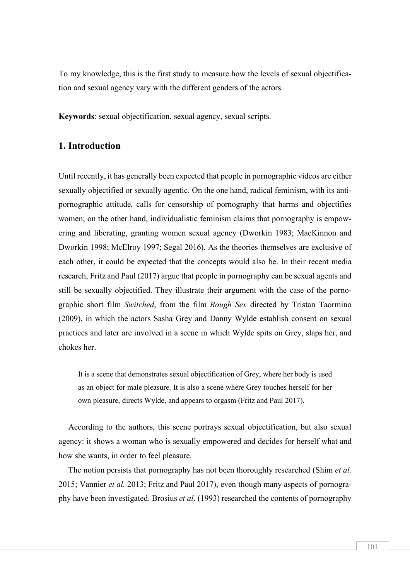To my knowledge, this is the first study to measure how the levels of sexual objectification and sexual agency vary with the different genders of the actors.

**Keywords**: sexual objectification, sexual agency, sexual scripts.

#### **1. Introduction**

Until recently, it has generally been expected that people in pornographic videos are either sexually objectified or sexually agentic. On the one hand, radical feminism, with its antipornographic attitude, calls for censorship of pornography that harms and objectifies women; on the other hand, individualistic feminism claims that pornography is empowering and liberating, granting women sexual agency (Dworkin 1983; MacKinnon and Dworkin 1998; McElroy 1997; Segal 2016). As the theories themselves are exclusive of each other, it could be expected that the concepts would also be. In their recent media research, Fritz and Paul (2017) argue that people in pornography can be sexual agents and still be sexually objectified. They illustrate their argument with the case of the pornographic short film *Switched*, from the film *Rough Sex* directed by Tristan Taormino (2009), in which the actors Sasha Grey and Danny Wylde establish consent on sexual practices and later are involved in a scene in which Wylde spits on Grey, slaps her, and chokes her.

It is a scene that demonstrates sexual objectification of Grey, where her body is used as an object for male pleasure. It is also a scene where Grey touches herself for her own pleasure, directs Wylde, and appears to orgasm (Fritz and Paul 2017).

According to the authors, this scene portrays sexual objectification, but also sexual agency: it shows a woman who is sexually empowered and decides for herself what and how she wants, in order to feel pleasure.

The notion persists that pornography has not been thoroughly researched (Shim *et al.*  2015; Vannier *et al.* 2013; Fritz and Paul 2017), even though many aspects of pornography have been investigated. Brosius *et al*. (1993) researched the contents of pornography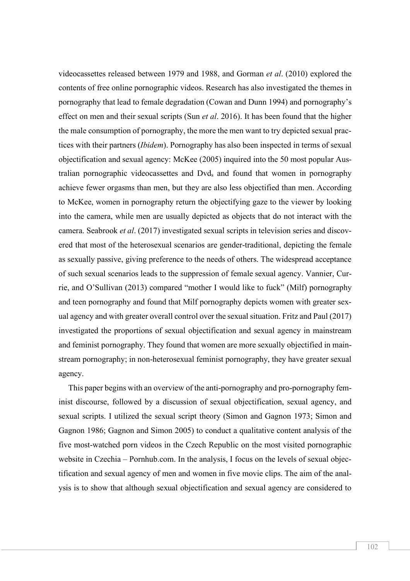videocassettes released between 1979 and 1988, and Gorman *et al*. (2010) explored the contents of free online pornographic videos. Research has also investigated the themes in pornography that lead to female degradation (Cowan and Dunn 1994) and pornography's effect on men and their sexual scripts (Sun *et al*. 2016). It has been found that the higher the male consumption of pornography, the more the men want to try depicted sexual practices with their partners (*Ibidem*). Pornography has also been inspected in terms of sexual objectification and sexual agency: McKee (2005) inquired into the 50 most popular Australian pornographic videocassettes and Dvds and found that women in pornography achieve fewer orgasms than men, but they are also less objectified than men. According to McKee, women in pornography return the objectifying gaze to the viewer by looking into the camera, while men are usually depicted as objects that do not interact with the camera. Seabrook *et al*. (2017) investigated sexual scripts in television series and discovered that most of the heterosexual scenarios are gender-traditional, depicting the female as sexually passive, giving preference to the needs of others. The widespread acceptance of such sexual scenarios leads to the suppression of female sexual agency. Vannier, Currie, and O'Sullivan (2013) compared "mother I would like to fuck" (Milf) pornography and teen pornography and found that Milf pornography depicts women with greater sexual agency and with greater overall control over the sexual situation. Fritz and Paul (2017) investigated the proportions of sexual objectification and sexual agency in mainstream and feminist pornography. They found that women are more sexually objectified in mainstream pornography; in non-heterosexual feminist pornography, they have greater sexual agency.

This paper begins with an overview of the anti-pornography and pro-pornography feminist discourse, followed by a discussion of sexual objectification, sexual agency, and sexual scripts. I utilized the sexual script theory (Simon and Gagnon 1973; Simon and Gagnon 1986; Gagnon and Simon 2005) to conduct a qualitative content analysis of the five most-watched porn videos in the Czech Republic on the most visited pornographic website in Czechia – Pornhub.com. In the analysis, I focus on the levels of sexual objectification and sexual agency of men and women in five movie clips. The aim of the analysis is to show that although sexual objectification and sexual agency are considered to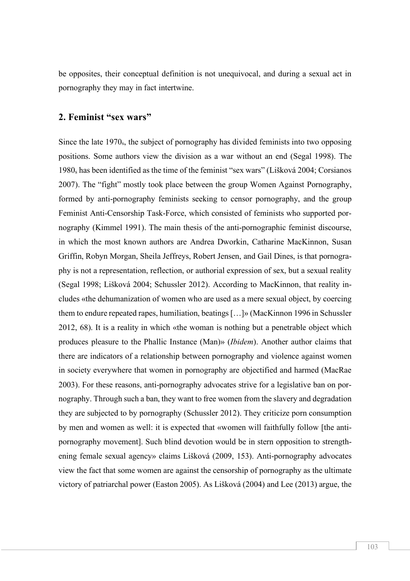be opposites, their conceptual definition is not unequivocal, and during a sexual act in pornography they may in fact intertwine.

#### **2. Feminist "sex wars"**

Since the late 1970<sub>s</sub>, the subject of pornography has divided feminists into two opposing positions. Some authors view the division as a war without an end (Segal 1998). The 1980s has been identified as the time of the feminist "sex wars" (Lišková 2004; Corsianos 2007). The "fight" mostly took place between the group Women Against Pornography, formed by anti-pornography feminists seeking to censor pornography, and the group Feminist Anti-Censorship Task-Force, which consisted of feminists who supported pornography (Kimmel 1991). The main thesis of the anti-pornographic feminist discourse, in which the most known authors are Andrea Dworkin, Catharine MacKinnon, Susan Griffin, Robyn Morgan, Sheila Jeffreys, Robert Jensen, and Gail Dines, is that pornography is not a representation, reflection, or authorial expression of sex, but a sexual reality (Segal 1998; Lišková 2004; Schussler 2012). According to MacKinnon, that reality includes «the dehumanization of women who are used as a mere sexual object, by coercing them to endure repeated rapes, humiliation, beatings […]» (MacKinnon 1996 in Schussler 2012, 68). It is a reality in which «the woman is nothing but a penetrable object which produces pleasure to the Phallic Instance (Man)» (*Ibidem*). Another author claims that there are indicators of a relationship between pornography and violence against women in society everywhere that women in pornography are objectified and harmed (MacRae 2003). For these reasons, anti-pornography advocates strive for a legislative ban on pornography. Through such a ban, they want to free women from the slavery and degradation they are subjected to by pornography (Schussler 2012). They criticize porn consumption by men and women as well: it is expected that «women will faithfully follow [the antipornography movement]. Such blind devotion would be in stern opposition to strengthening female sexual agency» claims Lišková (2009, 153). Anti-pornography advocates view the fact that some women are against the censorship of pornography as the ultimate victory of patriarchal power (Easton 2005). As Lišková (2004) and Lee (2013) argue, the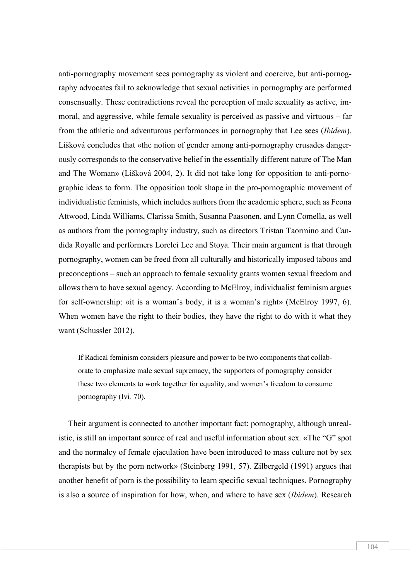anti-pornography movement sees pornography as violent and coercive, but anti-pornography advocates fail to acknowledge that sexual activities in pornography are performed consensually. These contradictions reveal the perception of male sexuality as active, immoral, and aggressive, while female sexuality is perceived as passive and virtuous – far from the athletic and adventurous performances in pornography that Lee sees (*Ibidem*). Lišková concludes that «the notion of gender among anti-pornography crusades dangerously corresponds to the conservative belief in the essentially different nature of The Man and The Woman» (Lišková 2004, 2). It did not take long for opposition to anti-pornographic ideas to form. The opposition took shape in the pro-pornographic movement of individualistic feminists, which includes authors from the academic sphere, such as Feona Attwood, Linda Williams, Clarissa Smith, Susanna Paasonen, and Lynn Comella, as well as authors from the pornography industry, such as directors Tristan Taormino and Candida Royalle and performers Lorelei Lee and Stoya. Their main argument is that through pornography, women can be freed from all culturally and historically imposed taboos and preconceptions – such an approach to female sexuality grants women sexual freedom and allows them to have sexual agency. According to McElroy, individualist feminism argues for self-ownership: «it is a woman's body, it is a woman's right» (McElroy 1997, 6). When women have the right to their bodies, they have the right to do with it what they want (Schussler 2012).

If Radical feminism considers pleasure and power to be two components that collaborate to emphasize male sexual supremacy, the supporters of pornography consider these two elements to work together for equality, and women's freedom to consume pornography (Ivi*,* 70).

Their argument is connected to another important fact: pornography, although unrealistic, is still an important source of real and useful information about sex. «The "G" spot and the normalcy of female ejaculation have been introduced to mass culture not by sex therapists but by the porn network» (Steinberg 1991, 57). Zilbergeld (1991) argues that another benefit of porn is the possibility to learn specific sexual techniques. Pornography is also a source of inspiration for how, when, and where to have sex (*Ibidem*). Research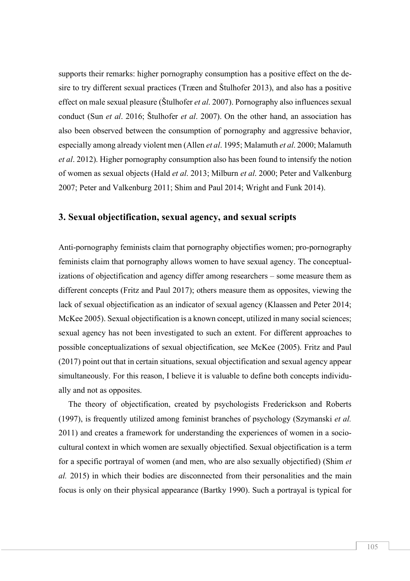supports their remarks: higher pornography consumption has a positive effect on the desire to try different sexual practices (Træen and Štulhofer 2013), and also has a positive effect on male sexual pleasure (Štulhofer *et al*. 2007). Pornography also influences sexual conduct (Sun *et al*. 2016; Štulhofer *et al*. 2007). On the other hand, an association has also been observed between the consumption of pornography and aggressive behavior, especially among already violent men (Allen *et al*. 1995; Malamuth *et al*. 2000; Malamuth *et al*. 2012). Higher pornography consumption also has been found to intensify the notion of women as sexual objects (Hald *et al*. 2013; Milburn *et al*. 2000; Peter and Valkenburg 2007; Peter and Valkenburg 2011; Shim and Paul 2014; Wright and Funk 2014).

#### **3. Sexual objectification, sexual agency, and sexual scripts**

Anti-pornography feminists claim that pornography objectifies women; pro-pornography feminists claim that pornography allows women to have sexual agency. The conceptualizations of objectification and agency differ among researchers – some measure them as different concepts (Fritz and Paul 2017); others measure them as opposites, viewing the lack of sexual objectification as an indicator of sexual agency (Klaassen and Peter 2014; McKee 2005). Sexual objectification is a known concept, utilized in many social sciences; sexual agency has not been investigated to such an extent. For different approaches to possible conceptualizations of sexual objectification, see McKee (2005). Fritz and Paul (2017) point out that in certain situations, sexual objectification and sexual agency appear simultaneously. For this reason, I believe it is valuable to define both concepts individually and not as opposites.

The theory of objectification, created by psychologists Frederickson and Roberts (1997), is frequently utilized among feminist branches of psychology (Szymanski *et al.* 2011) and creates a framework for understanding the experiences of women in a sociocultural context in which women are sexually objectified. Sexual objectification is a term for a specific portrayal of women (and men, who are also sexually objectified) (Shim *et al.* 2015) in which their bodies are disconnected from their personalities and the main focus is only on their physical appearance (Bartky 1990). Such a portrayal is typical for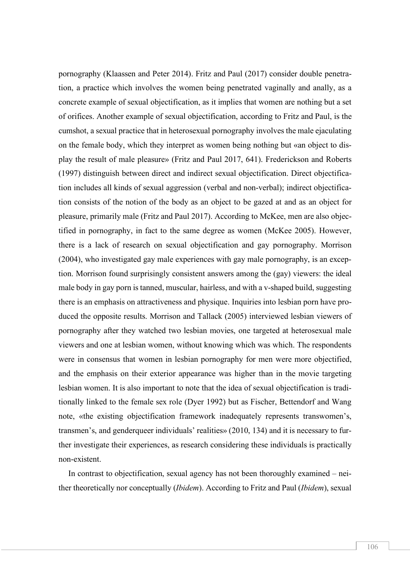pornography (Klaassen and Peter 2014). Fritz and Paul (2017) consider double penetration, a practice which involves the women being penetrated vaginally and anally, as a concrete example of sexual objectification, as it implies that women are nothing but a set of orifices. Another example of sexual objectification, according to Fritz and Paul, is the cumshot, a sexual practice that in heterosexual pornography involves the male ejaculating on the female body, which they interpret as women being nothing but «an object to display the result of male pleasure» (Fritz and Paul 2017, 641). Frederickson and Roberts (1997) distinguish between direct and indirect sexual objectification. Direct objectification includes all kinds of sexual aggression (verbal and non-verbal); indirect objectification consists of the notion of the body as an object to be gazed at and as an object for pleasure, primarily male (Fritz and Paul 2017). According to McKee, men are also objectified in pornography, in fact to the same degree as women (McKee 2005). However, there is a lack of research on sexual objectification and gay pornography. Morrison (2004), who investigated gay male experiences with gay male pornography, is an exception. Morrison found surprisingly consistent answers among the (gay) viewers: the ideal male body in gay porn is tanned, muscular, hairless, and with a v-shaped build, suggesting there is an emphasis on attractiveness and physique. Inquiries into lesbian porn have produced the opposite results. Morrison and Tallack (2005) interviewed lesbian viewers of pornography after they watched two lesbian movies, one targeted at heterosexual male viewers and one at lesbian women, without knowing which was which. The respondents were in consensus that women in lesbian pornography for men were more objectified, and the emphasis on their exterior appearance was higher than in the movie targeting lesbian women. It is also important to note that the idea of sexual objectification is traditionally linked to the female sex role (Dyer 1992) but as Fischer, Bettendorf and Wang note, «the existing objectification framework inadequately represents transwomen's, transmen's, and genderqueer individuals' realities» (2010, 134) and it is necessary to further investigate their experiences, as research considering these individuals is practically non-existent.

In contrast to objectification, sexual agency has not been thoroughly examined – neither theoretically nor conceptually (*Ibidem*). According to Fritz and Paul (*Ibidem*), sexual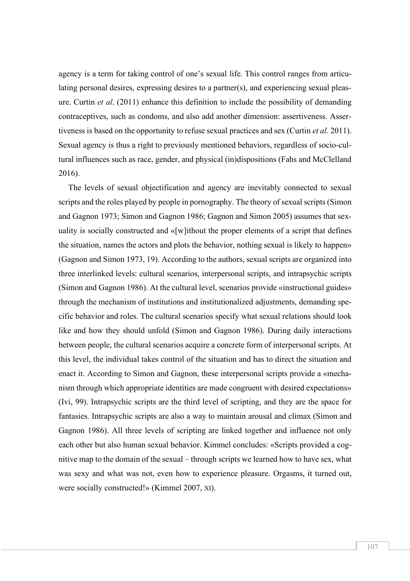agency is a term for taking control of one's sexual life. This control ranges from articulating personal desires, expressing desires to a partner(s), and experiencing sexual pleasure. Curtin *et al*. (2011) enhance this definition to include the possibility of demanding contraceptives, such as condoms, and also add another dimension: assertiveness. Assertiveness is based on the opportunity to refuse sexual practices and sex (Curtin *et al*. 2011). Sexual agency is thus a right to previously mentioned behaviors, regardless of socio-cultural influences such as race, gender, and physical (in)dispositions (Fahs and McClelland 2016).

The levels of sexual objectification and agency are inevitably connected to sexual scripts and the roles played by people in pornography. The theory of sexual scripts (Simon and Gagnon 1973; Simon and Gagnon 1986; Gagnon and Simon 2005) assumes that sexuality is socially constructed and «[w]ithout the proper elements of a script that defines the situation, names the actors and plots the behavior, nothing sexual is likely to happen» (Gagnon and Simon 1973, 19). According to the authors, sexual scripts are organized into three interlinked levels: cultural scenarios, interpersonal scripts, and intrapsychic scripts (Simon and Gagnon 1986). At the cultural level, scenarios provide «instructional guides» through the mechanism of institutions and institutionalized adjustments, demanding specific behavior and roles. The cultural scenarios specify what sexual relations should look like and how they should unfold (Simon and Gagnon 1986). During daily interactions between people, the cultural scenarios acquire a concrete form of interpersonal scripts. At this level, the individual takes control of the situation and has to direct the situation and enact it. According to Simon and Gagnon, these interpersonal scripts provide a «mechanism through which appropriate identities are made congruent with desired expectations» (Ivi, 99). Intrapsychic scripts are the third level of scripting, and they are the space for fantasies. Intrapsychic scripts are also a way to maintain arousal and climax (Simon and Gagnon 1986). All three levels of scripting are linked together and influence not only each other but also human sexual behavior. Kimmel concludes: «Scripts provided a cognitive map to the domain of the sexual – through scripts we learned how to have sex, what was sexy and what was not, even how to experience pleasure. Orgasms, it turned out, were socially constructed!» (Kimmel 2007, XI).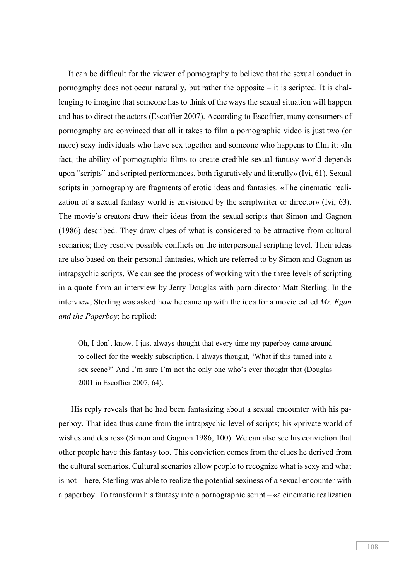It can be difficult for the viewer of pornography to believe that the sexual conduct in pornography does not occur naturally, but rather the opposite – it is scripted. It is challenging to imagine that someone has to think of the ways the sexual situation will happen and has to direct the actors (Escoffier 2007). According to Escoffier, many consumers of pornography are convinced that all it takes to film a pornographic video is just two (or more) sexy individuals who have sex together and someone who happens to film it: «In fact, the ability of pornographic films to create credible sexual fantasy world depends upon "scripts" and scripted performances, both figuratively and literally» (Ivi, 61). Sexual scripts in pornography are fragments of erotic ideas and fantasies. «The cinematic realization of a sexual fantasy world is envisioned by the scriptwriter or director» (Ivi, 63). The movie's creators draw their ideas from the sexual scripts that Simon and Gagnon (1986) described. They draw clues of what is considered to be attractive from cultural scenarios; they resolve possible conflicts on the interpersonal scripting level. Their ideas are also based on their personal fantasies, which are referred to by Simon and Gagnon as intrapsychic scripts. We can see the process of working with the three levels of scripting in a quote from an interview by Jerry Douglas with porn director Matt Sterling. In the interview, Sterling was asked how he came up with the idea for a movie called *Mr. Egan and the Paperboy*; he replied:

Oh, I don't know. I just always thought that every time my paperboy came around to collect for the weekly subscription, I always thought, 'What if this turned into a sex scene?' And I'm sure I'm not the only one who's ever thought that (Douglas 2001 in Escoffier 2007, 64).

His reply reveals that he had been fantasizing about a sexual encounter with his paperboy. That idea thus came from the intrapsychic level of scripts; his «private world of wishes and desires» (Simon and Gagnon 1986, 100). We can also see his conviction that other people have this fantasy too. This conviction comes from the clues he derived from the cultural scenarios. Cultural scenarios allow people to recognize what is sexy and what is not – here, Sterling was able to realize the potential sexiness of a sexual encounter with a paperboy. To transform his fantasy into a pornographic script – «a cinematic realization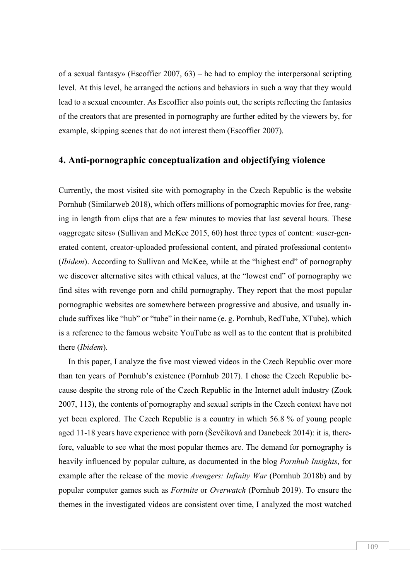of a sexual fantasy» (Escoffier 2007, 63) – he had to employ the interpersonal scripting level. At this level, he arranged the actions and behaviors in such a way that they would lead to a sexual encounter. As Escoffier also points out, the scripts reflecting the fantasies of the creators that are presented in pornography are further edited by the viewers by, for example, skipping scenes that do not interest them (Escoffier 2007).

#### **4. Anti-pornographic conceptualization and objectifying violence**

Currently, the most visited site with pornography in the Czech Republic is the website Pornhub (Similarweb 2018), which offers millions of pornographic movies for free, ranging in length from clips that are a few minutes to movies that last several hours. These «aggregate sites» (Sullivan and McKee 2015, 60) host three types of content: «user-generated content, creator-uploaded professional content, and pirated professional content» (*Ibidem*). According to Sullivan and McKee, while at the "highest end" of pornography we discover alternative sites with ethical values, at the "lowest end" of pornography we find sites with revenge porn and child pornography. They report that the most popular pornographic websites are somewhere between progressive and abusive, and usually include suffixes like "hub" or "tube" in their name (e. g. Pornhub, RedTube, XTube), which is a reference to the famous website YouTube as well as to the content that is prohibited there (*Ibidem*).

In this paper, I analyze the five most viewed videos in the Czech Republic over more than ten years of Pornhub's existence (Pornhub 2017). I chose the Czech Republic because despite the strong role of the Czech Republic in the Internet adult industry (Zook 2007, 113), the contents of pornography and sexual scripts in the Czech context have not yet been explored. The Czech Republic is a country in which 56.8 % of young people aged 11-18 years have experience with porn (Ševčíková and Danebeck 2014): it is, therefore, valuable to see what the most popular themes are. The demand for pornography is heavily influenced by popular culture, as documented in the blog *Pornhub Insights*, for example after the release of the movie *Avengers: Infinity War* (Pornhub 2018b) and by popular computer games such as *Fortnite* or *Overwatch* (Pornhub 2019). To ensure the themes in the investigated videos are consistent over time, I analyzed the most watched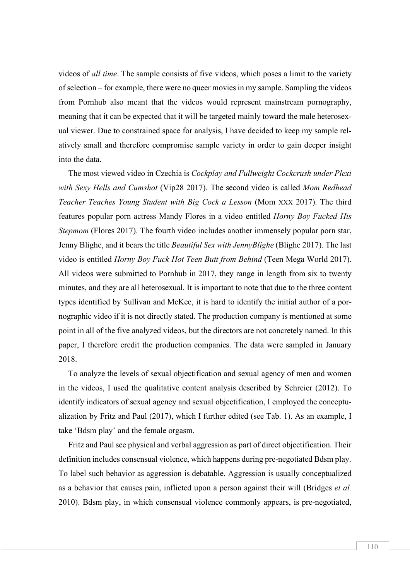videos of *all time*. The sample consists of five videos, which poses a limit to the variety of selection – for example, there were no queer movies in my sample. Sampling the videos from Pornhub also meant that the videos would represent mainstream pornography, meaning that it can be expected that it will be targeted mainly toward the male heterosexual viewer. Due to constrained space for analysis, I have decided to keep my sample relatively small and therefore compromise sample variety in order to gain deeper insight into the data.

The most viewed video in Czechia is *Cockplay and Fullweight Cockcrush under Plexi with Sexy Hells and Cumshot* (Vip28 2017). The second video is called *Mom Redhead Teacher Teaches Young Student with Big Cock a Lesson* (Mom XXX 2017). The third features popular porn actress Mandy Flores in a video entitled *Horny Boy Fucked His Stepmom* (Flores 2017). The fourth video includes another immensely popular porn star, Jenny Blighe, and it bears the title *Beautiful Sex with JennyBlighe* (Blighe 2017). The last video is entitled *Horny Boy Fuck Hot Teen Butt from Behind* (Teen Mega World 2017). All videos were submitted to Pornhub in 2017, they range in length from six to twenty minutes, and they are all heterosexual. It is important to note that due to the three content types identified by Sullivan and McKee, it is hard to identify the initial author of a pornographic video if it is not directly stated. The production company is mentioned at some point in all of the five analyzed videos, but the directors are not concretely named. In this paper, I therefore credit the production companies. The data were sampled in January 2018.

To analyze the levels of sexual objectification and sexual agency of men and women in the videos, I used the qualitative content analysis described by Schreier (2012). To identify indicators of sexual agency and sexual objectification, I employed the conceptualization by Fritz and Paul (2017), which I further edited (see Tab. 1). As an example, I take 'Bdsm play' and the female orgasm.

Fritz and Paul see physical and verbal aggression as part of direct objectification. Their definition includes consensual violence, which happens during pre-negotiated Bdsm play. To label such behavior as aggression is debatable. Aggression is usually conceptualized as a behavior that causes pain, inflicted upon a person against their will (Bridges *et al.* 2010). Bdsm play, in which consensual violence commonly appears, is pre-negotiated,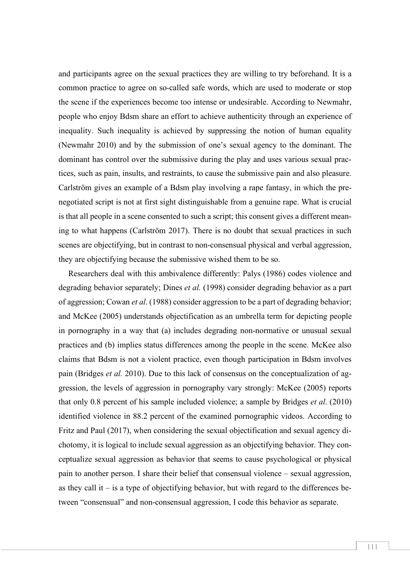and participants agree on the sexual practices they are willing to try beforehand. It is a common practice to agree on so-called safe words, which are used to moderate or stop the scene if the experiences become too intense or undesirable. According to Newmahr, people who enjoy Bdsm share an effort to achieve authenticity through an experience of inequality. Such inequality is achieved by suppressing the notion of human equality (Newmahr 2010) and by the submission of one's sexual agency to the dominant. The dominant has control over the submissive during the play and uses various sexual practices, such as pain, insults, and restraints, to cause the submissive pain and also pleasure. Carlström gives an example of a Bdsm play involving a rape fantasy, in which the prenegotiated script is not at first sight distinguishable from a genuine rape. What is crucial is that all people in a scene consented to such a script; this consent gives a different meaning to what happens (Carlström 2017). There is no doubt that sexual practices in such scenes are objectifying, but in contrast to non-consensual physical and verbal aggression, they are objectifying because the submissive wished them to be so.

Researchers deal with this ambivalence differently: Palys (1986) codes violence and degrading behavior separately; Dines *et al.* (1998) consider degrading behavior as a part of aggression; Cowan *et al*. (1988) consider aggression to be a part of degrading behavior; and McKee (2005) understands objectification as an umbrella term for depicting people in pornography in a way that (a) includes degrading non-normative or unusual sexual practices and (b) implies status differences among the people in the scene. McKee also claims that Bdsm is not a violent practice, even though participation in Bdsm involves pain (Bridges *et al.* 2010). Due to this lack of consensus on the conceptualization of aggression, the levels of aggression in pornography vary strongly: McKee (2005) reports that only 0.8 percent of his sample included violence; a sample by Bridges *et al*. (2010) identified violence in 88.2 percent of the examined pornographic videos. According to Fritz and Paul (2017), when considering the sexual objectification and sexual agency dichotomy, it is logical to include sexual aggression as an objectifying behavior. They conceptualize sexual aggression as behavior that seems to cause psychological or physical pain to another person. I share their belief that consensual violence – sexual aggression, as they call it – is a type of objectifying behavior, but with regard to the differences between "consensual" and non-consensual aggression, I code this behavior as separate.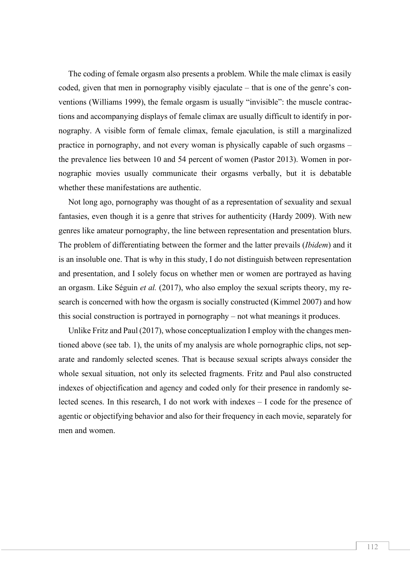The coding of female orgasm also presents a problem. While the male climax is easily coded, given that men in pornography visibly ejaculate – that is one of the genre's conventions (Williams 1999), the female orgasm is usually "invisible": the muscle contractions and accompanying displays of female climax are usually difficult to identify in pornography. A visible form of female climax, female ejaculation, is still a marginalized practice in pornography, and not every woman is physically capable of such orgasms – the prevalence lies between 10 and 54 percent of women (Pastor 2013). Women in pornographic movies usually communicate their orgasms verbally, but it is debatable whether these manifestations are authentic.

Not long ago, pornography was thought of as a representation of sexuality and sexual fantasies, even though it is a genre that strives for authenticity (Hardy 2009). With new genres like amateur pornography, the line between representation and presentation blurs. The problem of differentiating between the former and the latter prevails (*Ibidem*) and it is an insoluble one. That is why in this study, I do not distinguish between representation and presentation, and I solely focus on whether men or women are portrayed as having an orgasm. Like Séguin *et al.* (2017), who also employ the sexual scripts theory, my research is concerned with how the orgasm is socially constructed (Kimmel 2007) and how this social construction is portrayed in pornography – not what meanings it produces.

Unlike Fritz and Paul (2017), whose conceptualization I employ with the changes mentioned above (see tab. 1), the units of my analysis are whole pornographic clips, not separate and randomly selected scenes. That is because sexual scripts always consider the whole sexual situation, not only its selected fragments. Fritz and Paul also constructed indexes of objectification and agency and coded only for their presence in randomly selected scenes. In this research, I do not work with indexes – I code for the presence of agentic or objectifying behavior and also for their frequency in each movie, separately for men and women.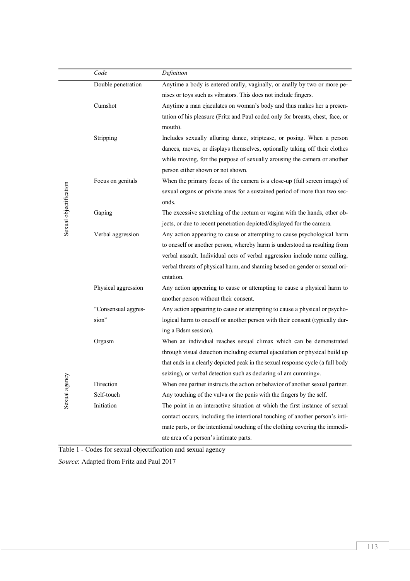|                        | Code                | Definition                                                                     |  |  |  |  |  |  |
|------------------------|---------------------|--------------------------------------------------------------------------------|--|--|--|--|--|--|
|                        | Double penetration  | Anytime a body is entered orally, vaginally, or anally by two or more pe-      |  |  |  |  |  |  |
|                        |                     | nises or toys such as vibrators. This does not include fingers.                |  |  |  |  |  |  |
|                        | Cumshot             | Anytime a man ejaculates on woman's body and thus makes her a presen-          |  |  |  |  |  |  |
|                        |                     | tation of his pleasure (Fritz and Paul coded only for breasts, chest, face, or |  |  |  |  |  |  |
|                        |                     | mouth).                                                                        |  |  |  |  |  |  |
|                        | Stripping           | Includes sexually alluring dance, striptease, or posing. When a person         |  |  |  |  |  |  |
|                        |                     | dances, moves, or displays themselves, optionally taking off their clothes     |  |  |  |  |  |  |
|                        |                     | while moving, for the purpose of sexually arousing the camera or another       |  |  |  |  |  |  |
|                        |                     | person either shown or not shown.                                              |  |  |  |  |  |  |
|                        | Focus on genitals   | When the primary focus of the camera is a close-up (full screen image) of      |  |  |  |  |  |  |
| Sexual objectification |                     | sexual organs or private areas for a sustained period of more than two sec-    |  |  |  |  |  |  |
|                        |                     | onds.                                                                          |  |  |  |  |  |  |
|                        | Gaping              | The excessive stretching of the rectum or vagina with the hands, other ob-     |  |  |  |  |  |  |
|                        |                     | jects, or due to recent penetration depicted/displayed for the camera.         |  |  |  |  |  |  |
|                        | Verbal aggression   | Any action appearing to cause or attempting to cause psychological harm        |  |  |  |  |  |  |
|                        |                     | to oneself or another person, whereby harm is understood as resulting from     |  |  |  |  |  |  |
|                        |                     | verbal assault. Individual acts of verbal aggression include name calling,     |  |  |  |  |  |  |
|                        |                     | verbal threats of physical harm, and shaming based on gender or sexual ori-    |  |  |  |  |  |  |
|                        |                     | entation.                                                                      |  |  |  |  |  |  |
|                        | Physical aggression | Any action appearing to cause or attempting to cause a physical harm to        |  |  |  |  |  |  |
|                        |                     | another person without their consent.                                          |  |  |  |  |  |  |
| Sexual agency          | "Consensual aggres- | Any action appearing to cause or attempting to cause a physical or psycho-     |  |  |  |  |  |  |
|                        | sion"               | logical harm to oneself or another person with their consent (typically dur-   |  |  |  |  |  |  |
|                        |                     | ing a Bdsm session).                                                           |  |  |  |  |  |  |
|                        | Orgasm              | When an individual reaches sexual climax which can be demonstrated             |  |  |  |  |  |  |
|                        |                     | through visual detection including external ejaculation or physical build up   |  |  |  |  |  |  |
|                        |                     | that ends in a clearly depicted peak in the sexual response cycle (a full body |  |  |  |  |  |  |
|                        |                     | seizing), or verbal detection such as declaring «I am cumming».                |  |  |  |  |  |  |
|                        | Direction           | When one partner instructs the action or behavior of another sexual partner.   |  |  |  |  |  |  |
|                        | Self-touch          | Any touching of the vulva or the penis with the fingers by the self.           |  |  |  |  |  |  |
|                        | Initiation          | The point in an interactive situation at which the first instance of sexual    |  |  |  |  |  |  |
|                        |                     | contact occurs, including the intentional touching of another person's inti-   |  |  |  |  |  |  |
|                        |                     | mate parts, or the intentional touching of the clothing covering the immedi-   |  |  |  |  |  |  |
|                        |                     | ate area of a person's intimate parts.                                         |  |  |  |  |  |  |

Table 1 - Codes for sexual objectification and sexual agency

*Source*: Adapted from Fritz and Paul 2017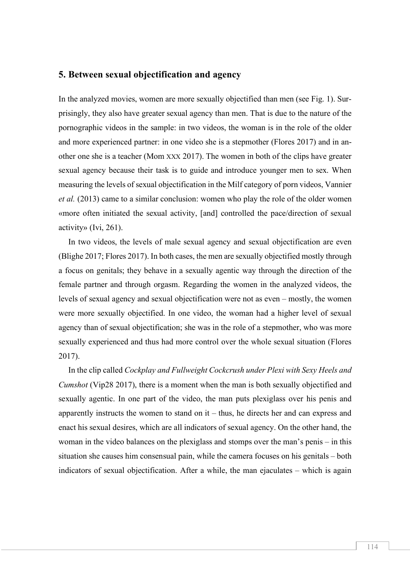#### **5. Between sexual objectification and agency**

In the analyzed movies, women are more sexually objectified than men (see Fig. 1). Surprisingly, they also have greater sexual agency than men. That is due to the nature of the pornographic videos in the sample: in two videos, the woman is in the role of the older and more experienced partner: in one video she is a stepmother (Flores 2017) and in another one she is a teacher (Mom XXX 2017). The women in both of the clips have greater sexual agency because their task is to guide and introduce younger men to sex. When measuring the levels of sexual objectification in the Milf category of porn videos, Vannier *et al.* (2013) came to a similar conclusion: women who play the role of the older women «more often initiated the sexual activity, [and] controlled the pace/direction of sexual activity» (Ivi, 261).

In two videos, the levels of male sexual agency and sexual objectification are even (Blighe 2017; Flores 2017). In both cases, the men are sexually objectified mostly through a focus on genitals; they behave in a sexually agentic way through the direction of the female partner and through orgasm. Regarding the women in the analyzed videos, the levels of sexual agency and sexual objectification were not as even – mostly, the women were more sexually objectified. In one video, the woman had a higher level of sexual agency than of sexual objectification; she was in the role of a stepmother, who was more sexually experienced and thus had more control over the whole sexual situation (Flores 2017).

In the clip called *Cockplay and Fullweight Cockcrush under Plexi with Sexy Heels and Cumshot* (Vip28 2017), there is a moment when the man is both sexually objectified and sexually agentic. In one part of the video, the man puts plexiglass over his penis and apparently instructs the women to stand on it – thus, he directs her and can express and enact his sexual desires, which are all indicators of sexual agency. On the other hand, the woman in the video balances on the plexiglass and stomps over the man's penis – in this situation she causes him consensual pain, while the camera focuses on his genitals – both indicators of sexual objectification. After a while, the man ejaculates – which is again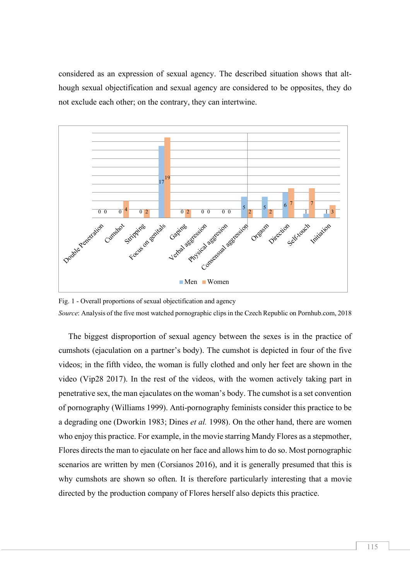considered as an expression of sexual agency. The described situation shows that although sexual objectification and sexual agency are considered to be opposites, they do not exclude each other; on the contrary, they can intertwine.



Fig. 1 - Overall proportions of sexual objectification and agency *Source*: Analysis of the five most watched pornographic clips in the Czech Republic on Pornhub.com, 2018

The biggest disproportion of sexual agency between the sexes is in the practice of cumshots (ejaculation on a partner's body). The cumshot is depicted in four of the five videos; in the fifth video, the woman is fully clothed and only her feet are shown in the video (Vip28 2017). In the rest of the videos, with the women actively taking part in penetrative sex, the man ejaculates on the woman's body. The cumshot is a set convention of pornography (Williams 1999). Anti-pornography feminists consider this practice to be a degrading one (Dworkin 1983; Dines *et al.* 1998). On the other hand, there are women who enjoy this practice. For example, in the movie starring Mandy Flores as a stepmother, Flores directs the man to ejaculate on her face and allows him to do so. Most pornographic scenarios are written by men (Corsianos 2016), and it is generally presumed that this is why cumshots are shown so often. It is therefore particularly interesting that a movie directed by the production company of Flores herself also depicts this practice.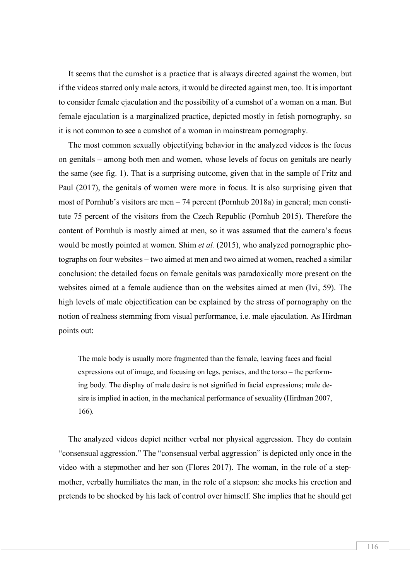It seems that the cumshot is a practice that is always directed against the women, but if the videos starred only male actors, it would be directed against men, too. It is important to consider female ejaculation and the possibility of a cumshot of a woman on a man. But female ejaculation is a marginalized practice, depicted mostly in fetish pornography, so it is not common to see a cumshot of a woman in mainstream pornography.

The most common sexually objectifying behavior in the analyzed videos is the focus on genitals – among both men and women, whose levels of focus on genitals are nearly the same (see fig. 1). That is a surprising outcome, given that in the sample of Fritz and Paul (2017), the genitals of women were more in focus. It is also surprising given that most of Pornhub's visitors are men – 74 percent (Pornhub 2018a) in general; men constitute 75 percent of the visitors from the Czech Republic (Pornhub 2015). Therefore the content of Pornhub is mostly aimed at men, so it was assumed that the camera's focus would be mostly pointed at women. Shim *et al.* (2015), who analyzed pornographic photographs on four websites – two aimed at men and two aimed at women, reached a similar conclusion: the detailed focus on female genitals was paradoxically more present on the websites aimed at a female audience than on the websites aimed at men (Ivi, 59). The high levels of male objectification can be explained by the stress of pornography on the notion of realness stemming from visual performance, i.e. male ejaculation. As Hirdman points out:

The male body is usually more fragmented than the female, leaving faces and facial expressions out of image, and focusing on legs, penises, and the torso – the performing body. The display of male desire is not signified in facial expressions; male desire is implied in action, in the mechanical performance of sexuality (Hirdman 2007, 166).

The analyzed videos depict neither verbal nor physical aggression. They do contain "consensual aggression." The "consensual verbal aggression" is depicted only once in the video with a stepmother and her son (Flores 2017). The woman, in the role of a stepmother, verbally humiliates the man, in the role of a stepson: she mocks his erection and pretends to be shocked by his lack of control over himself. She implies that he should get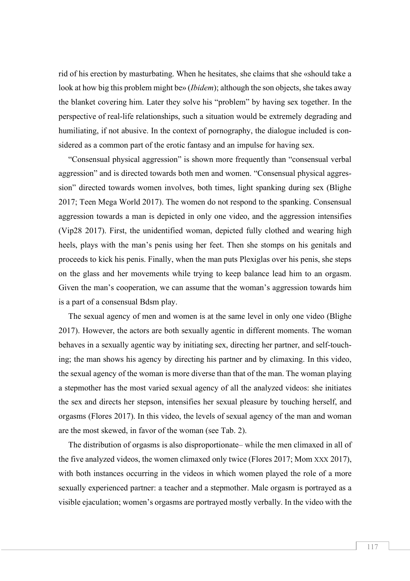rid of his erection by masturbating. When he hesitates, she claims that she «should take a look at how big this problem might be» (*Ibidem*); although the son objects, she takes away the blanket covering him. Later they solve his "problem" by having sex together. In the perspective of real-life relationships, such a situation would be extremely degrading and humiliating, if not abusive. In the context of pornography, the dialogue included is considered as a common part of the erotic fantasy and an impulse for having sex.

"Consensual physical aggression" is shown more frequently than "consensual verbal aggression" and is directed towards both men and women. "Consensual physical aggression" directed towards women involves, both times, light spanking during sex (Blighe 2017; Teen Mega World 2017). The women do not respond to the spanking. Consensual aggression towards a man is depicted in only one video, and the aggression intensifies (Vip28 2017). First, the unidentified woman, depicted fully clothed and wearing high heels, plays with the man's penis using her feet. Then she stomps on his genitals and proceeds to kick his penis. Finally, when the man puts Plexiglas over his penis, she steps on the glass and her movements while trying to keep balance lead him to an orgasm. Given the man's cooperation, we can assume that the woman's aggression towards him is a part of a consensual Bdsm play.

The sexual agency of men and women is at the same level in only one video (Blighe 2017). However, the actors are both sexually agentic in different moments. The woman behaves in a sexually agentic way by initiating sex, directing her partner, and self-touching; the man shows his agency by directing his partner and by climaxing. In this video, the sexual agency of the woman is more diverse than that of the man. The woman playing a stepmother has the most varied sexual agency of all the analyzed videos: she initiates the sex and directs her stepson, intensifies her sexual pleasure by touching herself, and orgasms (Flores 2017). In this video, the levels of sexual agency of the man and woman are the most skewed, in favor of the woman (see Tab. 2).

The distribution of orgasms is also disproportionate– while the men climaxed in all of the five analyzed videos, the women climaxed only twice (Flores 2017; Mom XXX 2017), with both instances occurring in the videos in which women played the role of a more sexually experienced partner: a teacher and a stepmother. Male orgasm is portrayed as a visible ejaculation; women's orgasms are portrayed mostly verbally. In the video with the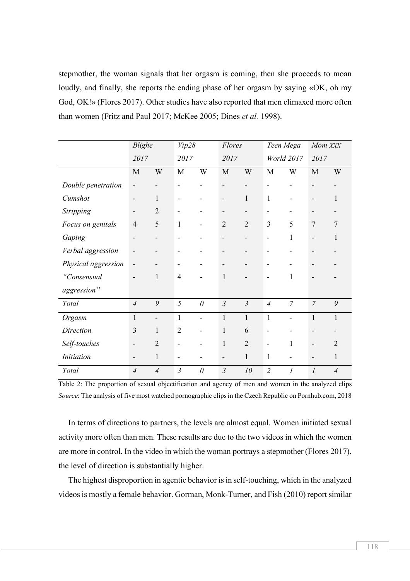stepmother, the woman signals that her orgasm is coming, then she proceeds to moan loudly, and finally, she reports the ending phase of her orgasm by saying «OK, oh my God, OK!» (Flores 2017). Other studies have also reported that men climaxed more often than women (Fritz and Paul 2017; McKee 2005; Dines *et al.* 1998).

|                     | Blighe                   |                          | Vip28          |                              | Flores                       |                | Teen Mega      |                | Mom XXX                      |                |
|---------------------|--------------------------|--------------------------|----------------|------------------------------|------------------------------|----------------|----------------|----------------|------------------------------|----------------|
|                     | 2017                     |                          | 2017           |                              | 2017                         |                | World 2017     |                | 2017                         |                |
|                     | M                        | W                        | M              | W                            | M                            | W              | M              | W              | M                            | W              |
| Double penetration  | $\overline{\phantom{a}}$ |                          |                |                              |                              |                |                |                |                              |                |
| Cumshot             | $\overline{\phantom{a}}$ | 1                        |                |                              | $\qquad \qquad \blacksquare$ | 1              | 1              |                | $\qquad \qquad \blacksquare$ | 1              |
| Stripping           | -                        | $\overline{2}$           |                |                              |                              |                |                |                |                              |                |
| Focus on genitals   | $\overline{4}$           | 5                        | 1              | $\overline{\phantom{a}}$     | $\overline{2}$               | $\overline{2}$ | 3              | 5              | 7                            | 7              |
| Gaping              | $\overline{\phantom{a}}$ |                          |                |                              | -                            |                | ۰              | $\mathbf{1}$   |                              | 1              |
| Verbal aggression   |                          |                          |                |                              |                              |                |                |                |                              |                |
| Physical aggression | -                        |                          |                |                              |                              |                |                |                |                              |                |
| "Consensual         |                          | 1                        | $\overline{4}$ |                              | 1                            |                |                | 1              |                              |                |
| aggression"         |                          |                          |                |                              |                              |                |                |                |                              |                |
| Total               | $\overline{4}$           | 9                        | 5              | $\theta$                     | $\mathfrak{Z}$               | $\mathfrak{Z}$ | $\overline{4}$ | $\overline{7}$ | $\overline{7}$               | 9              |
| Orgasm              | $\mathbf{1}$             | $\overline{\phantom{0}}$ | $\mathbf{1}$   | $\overline{a}$               | $\mathbf{1}$                 | $\mathbf{1}$   | $\mathbf{1}$   | L,             | $\mathbf{1}$                 | $\mathbf{1}$   |
| Direction           | 3                        | $\mathbf{1}$             | $\overline{2}$ | $\qquad \qquad \blacksquare$ | $\mathbf{1}$                 | 6              | -              |                |                              |                |
| Self-touches        | $\overline{\phantom{a}}$ | $\overline{2}$           |                |                              | $\mathbf{1}$                 | $\overline{2}$ | ۰              | 1              | $\qquad \qquad \blacksquare$ | $\overline{2}$ |
| <b>Initiation</b>   |                          | $\mathbf{1}$             |                |                              |                              | $\mathbf{1}$   | $\mathbf{1}$   |                |                              | 1              |
| Total               | $\overline{4}$           | $\overline{4}$           | $\mathfrak{Z}$ | $\theta$                     | $\mathfrak{Z}$               | 10             | $\overline{2}$ | 1              | 1                            | $\overline{4}$ |

Table 2: The proportion of sexual objectification and agency of men and women in the analyzed clips *Source*: The analysis of five most watched pornographic clips in the Czech Republic on Pornhub.com, 2018

In terms of directions to partners, the levels are almost equal. Women initiated sexual activity more often than men. These results are due to the two videos in which the women are more in control. In the video in which the woman portrays a stepmother (Flores 2017), the level of direction is substantially higher.

The highest disproportion in agentic behavior is in self-touching, which in the analyzed videos is mostly a female behavior. Gorman, Monk-Turner, and Fish (2010) report similar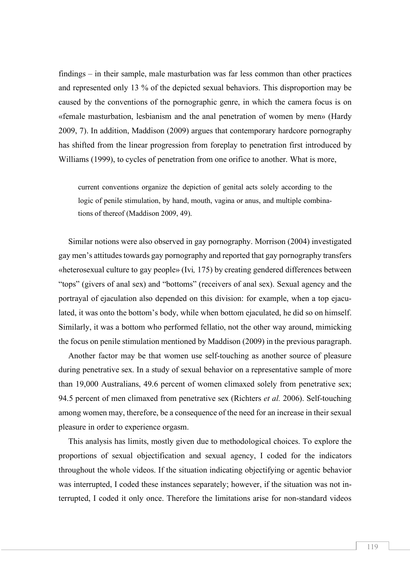findings – in their sample, male masturbation was far less common than other practices and represented only 13 % of the depicted sexual behaviors. This disproportion may be caused by the conventions of the pornographic genre, in which the camera focus is on «female masturbation, lesbianism and the anal penetration of women by men» (Hardy 2009, 7). In addition, Maddison (2009) argues that contemporary hardcore pornography has shifted from the linear progression from foreplay to penetration first introduced by Williams (1999), to cycles of penetration from one orifice to another. What is more,

current conventions organize the depiction of genital acts solely according to the logic of penile stimulation, by hand, mouth, vagina or anus, and multiple combinations of thereof (Maddison 2009, 49).

Similar notions were also observed in gay pornography. Morrison (2004) investigated gay men's attitudes towards gay pornography and reported that gay pornography transfers «heterosexual culture to gay people» (Ivi*,* 175) by creating gendered differences between "tops" (givers of anal sex) and "bottoms" (receivers of anal sex). Sexual agency and the portrayal of ejaculation also depended on this division: for example, when a top ejaculated, it was onto the bottom's body, while when bottom ejaculated, he did so on himself. Similarly, it was a bottom who performed fellatio, not the other way around, mimicking the focus on penile stimulation mentioned by Maddison (2009) in the previous paragraph.

Another factor may be that women use self-touching as another source of pleasure during penetrative sex. In a study of sexual behavior on a representative sample of more than 19,000 Australians, 49.6 percent of women climaxed solely from penetrative sex; 94.5 percent of men climaxed from penetrative sex (Richters *et al.* 2006). Self-touching among women may, therefore, be a consequence of the need for an increase in their sexual pleasure in order to experience orgasm.

This analysis has limits, mostly given due to methodological choices. To explore the proportions of sexual objectification and sexual agency, I coded for the indicators throughout the whole videos. If the situation indicating objectifying or agentic behavior was interrupted, I coded these instances separately; however, if the situation was not interrupted, I coded it only once. Therefore the limitations arise for non-standard videos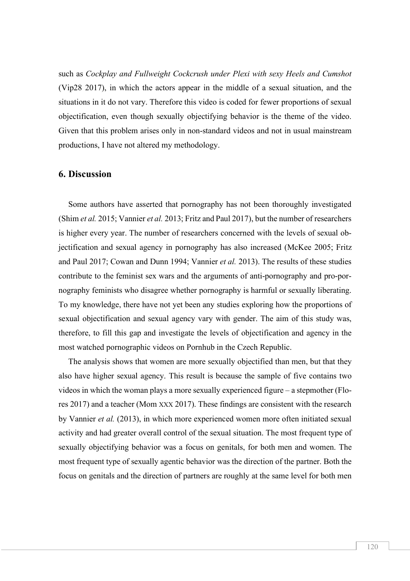such as *Cockplay and Fullweight Cockcrush under Plexi with sexy Heels and Cumshot* (Vip28 2017), in which the actors appear in the middle of a sexual situation, and the situations in it do not vary. Therefore this video is coded for fewer proportions of sexual objectification, even though sexually objectifying behavior is the theme of the video. Given that this problem arises only in non-standard videos and not in usual mainstream productions, I have not altered my methodology.

#### **6. Discussion**

Some authors have asserted that pornography has not been thoroughly investigated (Shim *et al.* 2015; Vannier *et al.* 2013; Fritz and Paul 2017), but the number of researchers is higher every year. The number of researchers concerned with the levels of sexual objectification and sexual agency in pornography has also increased (McKee 2005; Fritz and Paul 2017; Cowan and Dunn 1994; Vannier *et al.* 2013). The results of these studies contribute to the feminist sex wars and the arguments of anti-pornography and pro-pornography feminists who disagree whether pornography is harmful or sexually liberating. To my knowledge, there have not yet been any studies exploring how the proportions of sexual objectification and sexual agency vary with gender. The aim of this study was, therefore, to fill this gap and investigate the levels of objectification and agency in the most watched pornographic videos on Pornhub in the Czech Republic.

The analysis shows that women are more sexually objectified than men, but that they also have higher sexual agency. This result is because the sample of five contains two videos in which the woman plays a more sexually experienced figure – a stepmother (Flores 2017) and a teacher (Mom XXX 2017). These findings are consistent with the research by Vannier *et al.* (2013), in which more experienced women more often initiated sexual activity and had greater overall control of the sexual situation. The most frequent type of sexually objectifying behavior was a focus on genitals, for both men and women. The most frequent type of sexually agentic behavior was the direction of the partner. Both the focus on genitals and the direction of partners are roughly at the same level for both men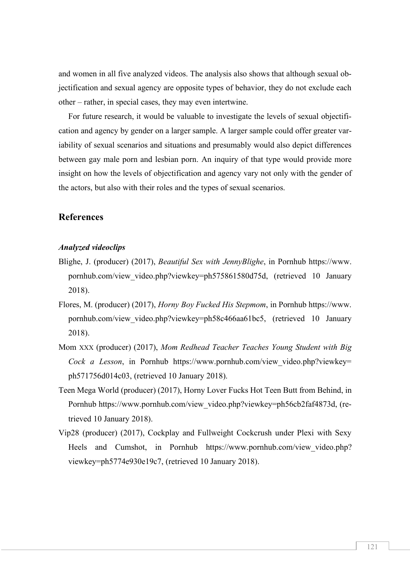and women in all five analyzed videos. The analysis also shows that although sexual objectification and sexual agency are opposite types of behavior, they do not exclude each other – rather, in special cases, they may even intertwine.

For future research, it would be valuable to investigate the levels of sexual objectification and agency by gender on a larger sample. A larger sample could offer greater variability of sexual scenarios and situations and presumably would also depict differences between gay male porn and lesbian porn. An inquiry of that type would provide more insight on how the levels of objectification and agency vary not only with the gender of the actors, but also with their roles and the types of sexual scenarios.

### **References**

#### *Analyzed videoclips*

- Blighe, J. (producer) (2017), *Beautiful Sex with JennyBlighe*, in Pornhub https://www. pornhub.com/view\_video.php?viewkey=ph575861580d75d, (retrieved 10 January 2018).
- Flores, M. (producer) (2017), *Horny Boy Fucked His Stepmom*, in Pornhub https://www. pornhub.com/view\_video.php?viewkey=ph58c466aa61bc5, (retrieved 10 January 2018).
- Mom XXX (producer) (2017), *Mom Redhead Teacher Teaches Young Student with Big Cock a Lesson*, in Pornhub https://www.pornhub.com/view video.php?viewkey= ph571756d014c03, (retrieved 10 January 2018).
- Teen Mega World (producer) (2017), Horny Lover Fucks Hot Teen Butt from Behind, in Pornhub https://www.pornhub.com/view\_video.php?viewkey=ph56cb2faf4873d, (retrieved 10 January 2018).
- Vip28 (producer) (2017), Cockplay and Fullweight Cockcrush under Plexi with Sexy Heels and Cumshot, in Pornhub https://www.pornhub.com/view video.php? viewkey=ph5774e930e19c7, (retrieved 10 January 2018).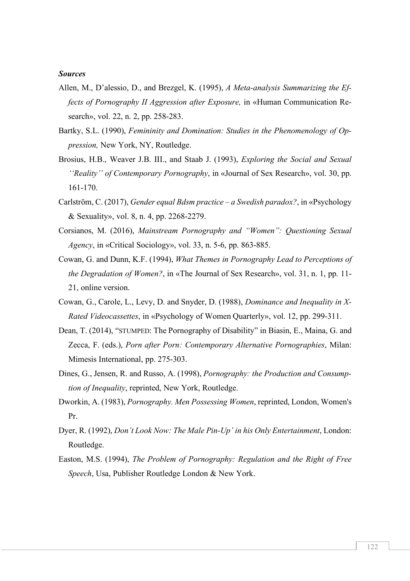#### *Sources*

- Allen, M., D'alessio, D., and Brezgel, K. (1995), *A Meta-analysis Summarizing the Effects of Pornography II Aggression after Exposure,* in «Human Communication Research», vol. 22, n. 2, pp. 258-283.
- Bartky, S.L. (1990), *Femininity and Domination: Studies in the Phenomenology of Oppression,* New York, NY, Routledge.
- Brosius, H.B., Weaver J.B. III., and Staab J. (1993), *Exploring the Social and Sexual ''Reality'' of Contemporary Pornography*, in «Journal of Sex Research», vol. 30, pp. 161-170.
- Carlström, C. (2017), *Gender equal Bdsm practice – a Swedish paradox?*, in «Psychology & Sexuality», vol. 8, n. 4, pp. 2268-2279.
- Corsianos, M. (2016), *Mainstream Pornography and "Women": Questioning Sexual Agency*, in «Critical Sociology», vol. 33, n. 5-6, pp. 863-885.
- Cowan, G. and Dunn, K.F. (1994), *What Themes in Pornography Lead to Perceptions of the Degradation of Women?*, in «The Journal of Sex Research», vol. 31, n. 1, pp. 11- 21, online version.
- Cowan, G., Carole, L., Levy, D. and Snyder, D. (1988), *Dominance and Inequality in X-Rated Videocassettes*, in «Psychology of Women Quarterly», vol. 12, pp. 299-311.
- Dean, T. (2014), "STUMPED: The Pornography of Disability" in Biasin, E., Maina, G. and Zecca, F. (eds.), *Porn after Porn: Contemporary Alternative Pornographies*, Milan: Mimesis International, pp. 275-303.
- Dines, G., Jensen, R. and Russo, A. (1998), *Pornography: the Production and Consumption of Inequality*, reprinted, New York, Routledge.
- Dworkin, A. (1983), *Pornography. Men Possessing Women*, reprinted, London, Women's Pr.
- Dyer, R. (1992), *Don't Look Now: The Male Pin-Up' in his Only Entertainment*, London: Routledge.
- Easton, M.S. (1994), *The Problem of Pornography: Regulation and the Right of Free Speech*, Usa, Publisher Routledge London & New York.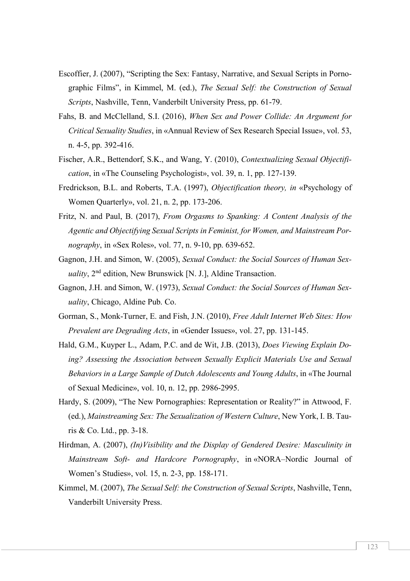- Escoffier, J. (2007), "Scripting the Sex: Fantasy, Narrative, and Sexual Scripts in Pornographic Films", in Kimmel, M. (ed.), *The Sexual Self: the Construction of Sexual Scripts*, Nashville, Tenn, Vanderbilt University Press, pp. 61-79.
- Fahs, B. and McClelland, S.I. (2016), *When Sex and Power Collide: An Argument for Critical Sexuality Studies*, in «Annual Review of Sex Research Special Issue», vol. 53, n. 4-5, pp. 392-416.
- Fischer, A.R., Bettendorf, S.K., and Wang, Y. (2010), *Contextualizing Sexual Objectification*, in «The Counseling Psychologist», vol. 39, n. 1, pp. 127-139.
- Fredrickson, B.L. and Roberts, T.A. (1997), *Objectification theory, in* «Psychology of Women Quarterly», vol. 21, n. 2, pp. 173-206.
- Fritz, N. and Paul, B. (2017), *From Orgasms to Spanking: A Content Analysis of the Agentic and Objectifying Sexual Scripts in Feminist, for Women, and Mainstream Pornography*, in «Sex Roles», vol. 77, n. 9-10, pp. 639-652.
- Gagnon, J.H. and Simon, W. (2005), *Sexual Conduct: the Social Sources of Human Sexuality*, 2<sup>nd</sup> edition, New Brunswick [N. J.], Aldine Transaction.
- Gagnon, J.H. and Simon, W. (1973), *Sexual Conduct: the Social Sources of Human Sexuality*, Chicago, Aldine Pub. Co.
- Gorman, S., Monk-Turner, E. and Fish, J.N. (2010), *Free Adult Internet Web Sites: How Prevalent are Degrading Acts*, in «Gender Issues», vol. 27, pp. 131-145.
- Hald, G.M., Kuyper L., Adam, P.C. and de Wit, J.B. (2013), *Does Viewing Explain Doing? Assessing the Association between Sexually Explicit Materials Use and Sexual Behaviors in a Large Sample of Dutch Adolescents and Young Adults*, in «The Journal of Sexual Medicine», vol. 10, n. 12, pp. 2986-2995.
- Hardy, S. (2009), "The New Pornographies: Representation or Reality?" in Attwood, F. (ed.), *Mainstreaming Sex: The Sexualization of Western Culture*, New York, I. B. Tauris & Co. Ltd., pp. 3-18.
- Hirdman, A. (2007), *(In)Visibility and the Display of Gendered Desire: Masculinity in Mainstream Soft- and Hardcore Pornography*, in «NORA–Nordic Journal of Women's Studies», vol. 15, n. 2-3, pp. 158-171.
- Kimmel, M. (2007), *The Sexual Self: the Construction of Sexual Scripts*, Nashville, Tenn, Vanderbilt University Press.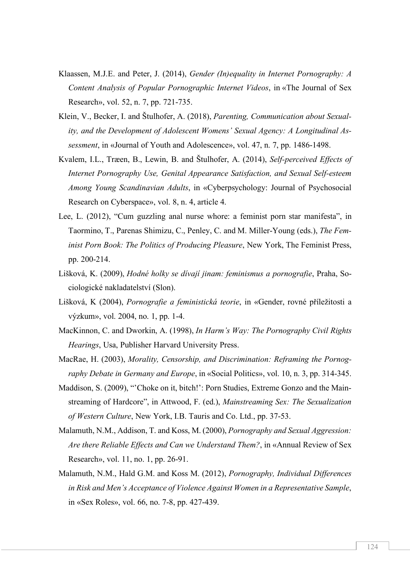- Klaassen, M.J.E. and Peter, J. (2014), *Gender (In)equality in Internet Pornography: A Content Analysis of Popular Pornographic Internet Videos*, in «The Journal of Sex Research», vol. 52, n. 7, pp. 721-735.
- Klein, V., Becker, I. and Štulhofer, A. (2018), *Parenting, Communication about Sexuality, and the Development of Adolescent Womens' Sexual Agency: A Longitudinal Assessment*, in «Journal of Youth and Adolescence», vol. 47, n. 7, pp. 1486-1498.
- Kvalem, I.L., Træen, B., Lewin, B. and Štulhofer, A. (2014), *Self-perceived Effects of Internet Pornography Use, Genital Appearance Satisfaction, and Sexual Self-esteem Among Young Scandinavian Adults*, in «Cyberpsychology: Journal of Psychosocial Research on Cyberspace», vol. 8, n. 4, article 4.
- Lee, L. (2012), "Cum guzzling anal nurse whore: a feminist porn star manifesta", in Taormino, T., Parenas Shimizu, C., Penley, C. and M. Miller-Young (eds.), *The Feminist Porn Book: The Politics of Producing Pleasure*, New York, The Feminist Press, pp. 200-214.
- Lišková, K. (2009), *Hodné holky se dívají jinam: feminismus a pornografie*, Praha, Sociologické nakladatelství (Slon).
- Lišková, K (2004), *Pornografie a feministická teorie*, in «Gender, rovné příležitosti a výzkum», vol. 2004, no. 1, pp. 1-4.
- MacKinnon, C. and Dworkin, A. (1998), *In Harm's Way: The Pornography Civil Rights Hearings*, Usa, Publisher Harvard University Press.
- MacRae, H. (2003), *Morality, Censorship, and Discrimination: Reframing the Pornography Debate in Germany and Europe*, in «Social Politics», vol. 10, n. 3, pp. 314-345.
- Maddison, S. (2009), "'Choke on it, bitch!': Porn Studies, Extreme Gonzo and the Mainstreaming of Hardcore", in Attwood, F. (ed.), *Mainstreaming Sex: The Sexualization of Western Culture*, New York, I.B. Tauris and Co. Ltd., pp. 37-53.
- Malamuth, N.M., Addison, T. and Koss, M. (2000), *Pornography and Sexual Aggression: Are there Reliable Effects and Can we Understand Them?*, in «Annual Review of Sex Research», vol. 11, no. 1, pp. 26-91.
- Malamuth, N.M., Hald G.M. and Koss M. (2012), *Pornography, Individual Differences in Risk and Men's Acceptance of Violence Against Women in a Representative Sample*, in «Sex Roles», vol. 66, no. 7-8, pp. 427-439.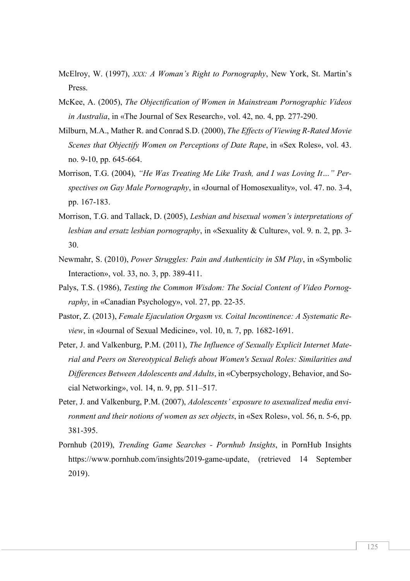- McElroy, W. (1997), *XXX: A Woman's Right to Pornography*, New York, St. Martin's Press.
- McKee, A. (2005), *The Objectification of Women in Mainstream Pornographic Videos in Australia*, in «The Journal of Sex Research», vol. 42, no. 4, pp. 277-290.
- Milburn, M.A., Mather R. and Conrad S.D. (2000), *The Effects of Viewing R-Rated Movie Scenes that Objectify Women on Perceptions of Date Rape*, in «Sex Roles», vol. 43. no. 9-10, pp. 645-664.
- Morrison, T.G. (2004), *"He Was Treating Me Like Trash, and I was Loving It…" Perspectives on Gay Male Pornography*, in «Journal of Homosexuality», vol. 47. no. 3-4, pp. 167-183.
- Morrison, T.G. and Tallack, D. (2005), *Lesbian and bisexual women's interpretations of lesbian and ersatz lesbian pornography*, in «Sexuality & Culture», vol. 9. n. 2, pp. 3- 30.
- Newmahr, S. (2010), *Power Struggles: Pain and Authenticity in SM Play*, in «Symbolic Interaction», vol. 33, no. 3, pp. 389-411.
- Palys, T.S. (1986), *Testing the Common Wisdom: The Social Content of Video Pornography*, in «Canadian Psychology», vol. 27, pp. 22-35.
- Pastor, Z. (2013), *Female Ejaculation Orgasm vs. Coital Incontinence: A Systematic Review*, in «Journal of Sexual Medicine», vol. 10, n. 7, pp. 1682-1691.
- Peter, J. and Valkenburg, P.M. (2011), *The Influence of Sexually Explicit Internet Material and Peers on Stereotypical Beliefs about Women's Sexual Roles: Similarities and Differences Between Adolescents and Adults*, in «Cyberpsychology, Behavior, and Social Networking», vol. 14, n. 9, pp. 511–517.
- Peter, J. and Valkenburg, P.M. (2007), *Adolescents' exposure to asexualized media environment and their notions of women as sex objects*, in «Sex Roles», vol. 56, n. 5-6, pp. 381-395.
- Pornhub (2019), *Trending Game Searches - Pornhub Insights*, in PornHub Insights https://www.pornhub.com/insights/2019-game-update, (retrieved 14 September 2019).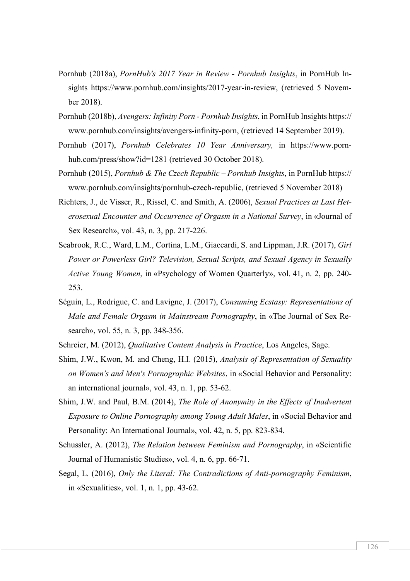- Pornhub (2018a), *PornHub's 2017 Year in Review - Pornhub Insights*, in PornHub Insights https://www.pornhub.com/insights/2017-year-in-review, (retrieved 5 November 2018).
- Pornhub (2018b), *Avengers: Infinity Porn - Pornhub Insights*, in PornHub Insights https:// www.pornhub.com/insights/avengers-infinity-porn, (retrieved 14 September 2019).
- Pornhub (2017), *Pornhub Celebrates 10 Year Anniversary,* in https://www.pornhub.com/press/show?id=1281 (retrieved 30 October 2018).
- Pornhub (2015), *Pornhub & The Czech Republic – Pornhub Insights*, in PornHub https:// www.pornhub.com/insights/pornhub-czech-republic, (retrieved 5 November 2018)
- Richters, J., de Visser, R., Rissel, C. and Smith, A. (2006), *Sexual Practices at Last Heterosexual Encounter and Occurrence of Orgasm in a National Survey*, in «Journal of Sex Research», vol. 43, n. 3, pp. 217-226.
- Seabrook, R.C., Ward, L.M., Cortina, L.M., Giaccardi, S. and Lippman, J.R. (2017), *Girl Power or Powerless Girl? Television, Sexual Scripts, and Sexual Agency in Sexually Active Young Women*, in «Psychology of Women Quarterly», vol. 41, n. 2, pp. 240- 253.
- Séguin, L., Rodrigue, C. and Lavigne, J. (2017), *Consuming Ecstasy: Representations of Male and Female Orgasm in Mainstream Pornography*, in «The Journal of Sex Research», vol. 55, n. 3, pp. 348-356.
- Schreier, M. (2012), *Qualitative Content Analysis in Practice*, Los Angeles, Sage.
- Shim, J.W., Kwon, M. and Cheng, H.I. (2015), *Analysis of Representation of Sexuality on Women's and Men's Pornographic Websites*, in «Social Behavior and Personality: an international journal», vol. 43, n. 1, pp. 53-62.
- Shim, J.W. and Paul, B.M. (2014), *The Role of Anonymity in the Effects of Inadvertent Exposure to Online Pornography among Young Adult Males*, in «Social Behavior and Personality: An International Journal», vol. 42, n. 5, pp. 823-834.
- Schussler, A. (2012), *The Relation between Feminism and Pornography*, in «Scientific Journal of Humanistic Studies», vol. 4, n. 6, pp. 66-71.
- Segal, L. (2016), *Only the Literal: The Contradictions of Anti-pornography Feminism*, in «Sexualities», vol. 1, n. 1, pp. 43-62.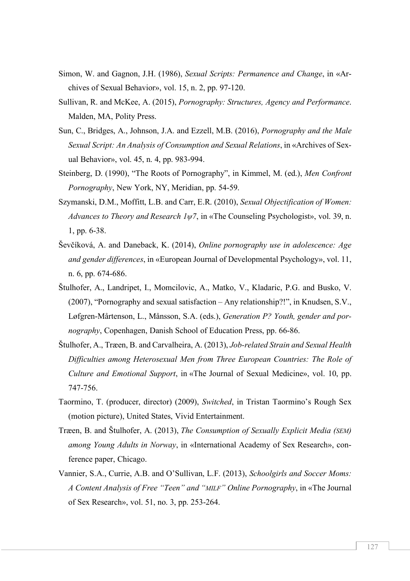- Simon, W. and Gagnon, J.H. (1986), *Sexual Scripts: Permanence and Change*, in «Archives of Sexual Behavior», vol. 15, n. 2, pp. 97-120.
- Sullivan, R. and McKee, A. (2015), *Pornography: Structures, Agency and Performance*. Malden, MA, Polity Press.
- Sun, C., Bridges, A., Johnson, J.A. and Ezzell, M.B. (2016), *Pornography and the Male Sexual Script: An Analysis of Consumption and Sexual Relations*, in «Archives of Sexual Behavior», vol. 45, n. 4, pp. 983-994.
- Steinberg, D. (1990), "The Roots of Pornography", in Kimmel, M. (ed.), *Men Confront Pornography*, New York, NY, Meridian, pp. 54-59.
- Szymanski, D.M., Moffitt, L.B. and Carr, E.R. (2010), *Sexual Objectification of Women: Advances to Theory and Research 1ψ7*, in «The Counseling Psychologist», vol. 39, n. 1, pp. 6-38.
- Ševčíková, A. and Daneback, K. (2014), *Online pornography use in adolescence: Age and gender differences*, in «European Journal of Developmental Psychology», vol. 11, n. 6, pp. 674-686.
- Štulhofer, A., Landripet, I., Momcilovic, A., Matko, V., Kladaric, P.G. and Busko, V. (2007), "Pornography and sexual satisfaction – Any relationship?!", in Knudsen, S.V., Løfgren-Mårtenson, L., Månsson, S.A. (eds.), *Generation P? Youth, gender and pornography*, Copenhagen, Danish School of Education Press, pp. 66-86.
- Štulhofer, A., Træen, B. and Carvalheira, A. (2013), *Job-related Strain and Sexual Health Difficulties among Heterosexual Men from Three European Countries: The Role of Culture and Emotional Support*, in «The Journal of Sexual Medicine», vol. 10, pp. 747-756.
- Taormino, T. (producer, director) (2009), *Switched*, in Tristan Taormino's Rough Sex (motion picture), United States, Vivid Entertainment.
- Træen, B. and Štulhofer, A. (2013), *The Consumption of Sexually Explicit Media (SEM) among Young Adults in Norway*, in «International Academy of Sex Research», conference paper, Chicago.
- Vannier, S.A., Currie, A.B. and O'Sullivan, L.F. (2013), *Schoolgirls and Soccer Moms: A Content Analysis of Free "Teen" and "MILF" Online Pornography*, in «The Journal of Sex Research», vol. 51, no. 3, pp. 253-264.